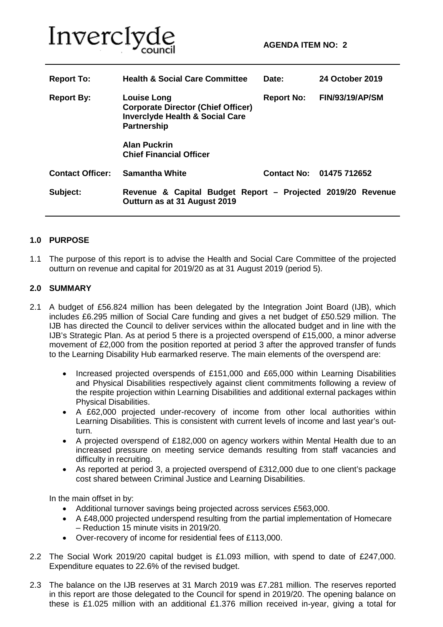

| <b>Report To:</b>       | <b>Health &amp; Social Care Committee</b>                                                                                           | Date:             | 24 October 2019          |
|-------------------------|-------------------------------------------------------------------------------------------------------------------------------------|-------------------|--------------------------|
| <b>Report By:</b>       | <b>Louise Long</b><br><b>Corporate Director (Chief Officer)</b><br><b>Inverclyde Health &amp; Social Care</b><br><b>Partnership</b> | <b>Report No:</b> | <b>FIN/93/19/AP/SM</b>   |
|                         | <b>Alan Puckrin</b><br><b>Chief Financial Officer</b>                                                                               |                   |                          |
| <b>Contact Officer:</b> | <b>Samantha White</b>                                                                                                               |                   | Contact No: 01475 712652 |
| Subject:                | Revenue & Capital Budget Report - Projected 2019/20 Revenue<br>Outturn as at 31 August 2019                                         |                   |                          |

#### **1.0 PURPOSE**

1.1 The purpose of this report is to advise the Health and Social Care Committee of the projected outturn on revenue and capital for 2019/20 as at 31 August 2019 (period 5).

#### **2.0 SUMMARY**

- 2.1 A budget of £56.824 million has been delegated by the Integration Joint Board (IJB), which includes £6.295 million of Social Care funding and gives a net budget of £50.529 million. The IJB has directed the Council to deliver services within the allocated budget and in line with the IJB's Strategic Plan. As at period 5 there is a projected overspend of £15,000, a minor adverse movement of £2,000 from the position reported at period 3 after the approved transfer of funds to the Learning Disability Hub earmarked reserve. The main elements of the overspend are:
	- Increased projected overspends of £151,000 and £65,000 within Learning Disabilities and Physical Disabilities respectively against client commitments following a review of the respite projection within Learning Disabilities and additional external packages within Physical Disabilities.
	- A £62,000 projected under-recovery of income from other local authorities within Learning Disabilities. This is consistent with current levels of income and last year's outturn.
	- A projected overspend of £182,000 on agency workers within Mental Health due to an increased pressure on meeting service demands resulting from staff vacancies and difficulty in recruiting.
	- As reported at period 3, a projected overspend of £312,000 due to one client's package cost shared between Criminal Justice and Learning Disabilities.

In the main offset in by:

- Additional turnover savings being projected across services £563,000.
- A £48,000 projected underspend resulting from the partial implementation of Homecare – Reduction 15 minute visits in 2019/20.
- Over-recovery of income for residential fees of £113,000.
- 2.2 The Social Work 2019/20 capital budget is £1.093 million, with spend to date of £247,000. Expenditure equates to 22.6% of the revised budget.
- 2.3 The balance on the IJB reserves at 31 March 2019 was £7.281 million. The reserves reported in this report are those delegated to the Council for spend in 2019/20. The opening balance on these is £1.025 million with an additional £1.376 million received in-year, giving a total for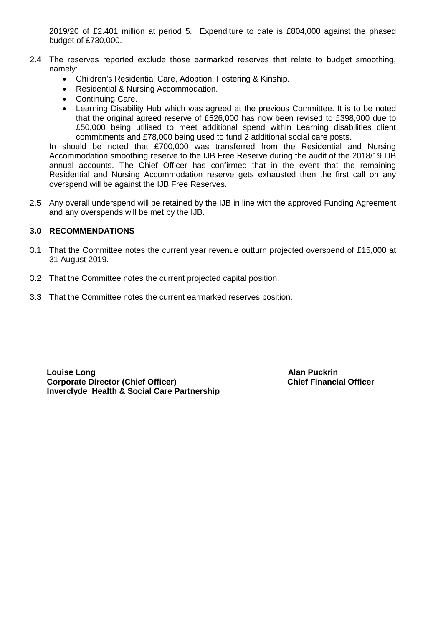2019/20 of £2.401 million at period 5. Expenditure to date is £804,000 against the phased budget of £730,000.

- 2.4 The reserves reported exclude those earmarked reserves that relate to budget smoothing, namely:
	- Children's Residential Care, Adoption, Fostering & Kinship.
	- Residential & Nursing Accommodation.
	- Continuing Care.
	- Learning Disability Hub which was agreed at the previous Committee. It is to be noted that the original agreed reserve of £526,000 has now been revised to £398,000 due to £50,000 being utilised to meet additional spend within Learning disabilities client commitments and £78,000 being used to fund 2 additional social care posts.

In should be noted that £700,000 was transferred from the Residential and Nursing Accommodation smoothing reserve to the IJB Free Reserve during the audit of the 2018/19 IJB annual accounts. The Chief Officer has confirmed that in the event that the remaining Residential and Nursing Accommodation reserve gets exhausted then the first call on any overspend will be against the IJB Free Reserves.

2.5 Any overall underspend will be retained by the IJB in line with the approved Funding Agreement and any overspends will be met by the IJB.

#### **3.0 RECOMMENDATIONS**

- 3.1 That the Committee notes the current year revenue outturn projected overspend of £15,000 at 31 August 2019.
- 3.2 That the Committee notes the current projected capital position.
- 3.3 That the Committee notes the current earmarked reserves position.

**Louise Long Alan Puckrin Corporate Director (Chief Officer) Inverclyde Health & Social Care Partnership**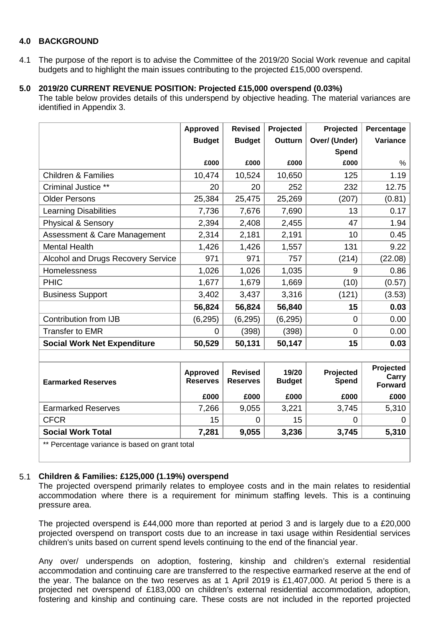#### **4.0 BACKGROUND**

4.1 The purpose of the report is to advise the Committee of the 2019/20 Social Work revenue and capital budgets and to highlight the main issues contributing to the projected £15,000 overspend.

## **5.0 2019/20 CURRENT REVENUE POSITION: Projected £15,000 overspend (0.03%)**

The table below provides details of this underspend by objective heading. The material variances are identified in Appendix 3.

|                                                | <b>Approved</b>                    | <b>Revised</b>                    | Projected              | Projected          | Percentage                           |
|------------------------------------------------|------------------------------------|-----------------------------------|------------------------|--------------------|--------------------------------------|
|                                                | <b>Budget</b>                      | <b>Budget</b>                     | Outturn                | Over/ (Under)      | Variance                             |
|                                                |                                    |                                   |                        | Spend              |                                      |
|                                                | £000                               | £000                              | £000                   | £000               | %                                    |
| <b>Children &amp; Families</b>                 | 10,474                             | 10,524                            | 10,650                 | 125                | 1.19                                 |
| Criminal Justice **                            | 20                                 | 20                                | 252                    | 232                | 12.75                                |
| <b>Older Persons</b>                           | 25,384                             | 25,475                            | 25,269                 | (207)              | (0.81)                               |
| <b>Learning Disabilities</b>                   | 7,736                              | 7,676                             | 7,690                  | 13                 | 0.17                                 |
| <b>Physical &amp; Sensory</b>                  | 2,394                              | 2,408                             | 2,455                  | 47                 | 1.94                                 |
| Assessment & Care Management                   | 2,314                              | 2,181                             | 2,191                  | 10                 | 0.45                                 |
| <b>Mental Health</b>                           | 1,426                              | 1,426                             | 1,557                  | 131                | 9.22                                 |
| Alcohol and Drugs Recovery Service             | 971                                | 971                               | 757                    | (214)              | (22.08)                              |
| Homelessness                                   | 1,026                              | 1,026                             | 1,035                  | 9                  | 0.86                                 |
| <b>PHIC</b>                                    | 1,677                              | 1,679                             | 1,669                  | (10)               | (0.57)                               |
| <b>Business Support</b>                        | 3,402                              | 3,437                             | 3,316                  | (121)              | (3.53)                               |
|                                                | 56,824                             | 56,824                            | 56,840                 | 15                 | 0.03                                 |
| Contribution from IJB                          | (6, 295)                           | (6, 295)                          | (6, 295)               | 0                  | 0.00                                 |
| <b>Transfer to EMR</b>                         | 0                                  | (398)                             | (398)                  | $\overline{0}$     | 0.00                                 |
| <b>Social Work Net Expenditure</b>             | 50,529                             | 50,131                            | 50,147                 | 15                 | 0.03                                 |
|                                                |                                    |                                   |                        |                    |                                      |
| <b>Earmarked Reserves</b>                      | <b>Approved</b><br><b>Reserves</b> | <b>Revised</b><br><b>Reserves</b> | 19/20<br><b>Budget</b> | Projected<br>Spend | Projected<br>Carry<br><b>Forward</b> |
|                                                | £000                               | £000                              | £000                   | £000               | £000                                 |
| <b>Earmarked Reserves</b>                      | 7,266                              | 9,055                             | 3,221                  | 3,745              | 5,310                                |
| <b>CFCR</b>                                    | 15                                 | 0                                 | 15                     | 0                  | 0                                    |
| <b>Social Work Total</b>                       | 7,281                              | 9,055                             | 3,236                  | 3,745              | 5,310                                |
| ** Perceptage variance is based on grapt total |                                    |                                   |                        |                    |                                      |

Percentage variance is based on grant total

#### 5.1 **Children & Families: £125,000 (1.19%) overspend**

The projected overspend primarily relates to employee costs and in the main relates to residential accommodation where there is a requirement for minimum staffing levels. This is a continuing pressure area.

The projected overspend is £44,000 more than reported at period 3 and is largely due to a £20,000 projected overspend on transport costs due to an increase in taxi usage within Residential services children's units based on current spend levels continuing to the end of the financial year.

Any over/ underspends on adoption, fostering, kinship and children's external residential accommodation and continuing care are transferred to the respective earmarked reserve at the end of the year. The balance on the two reserves as at 1 April 2019 is £1,407,000. At period 5 there is a projected net overspend of £183,000 on children's external residential accommodation, adoption, fostering and kinship and continuing care. These costs are not included in the reported projected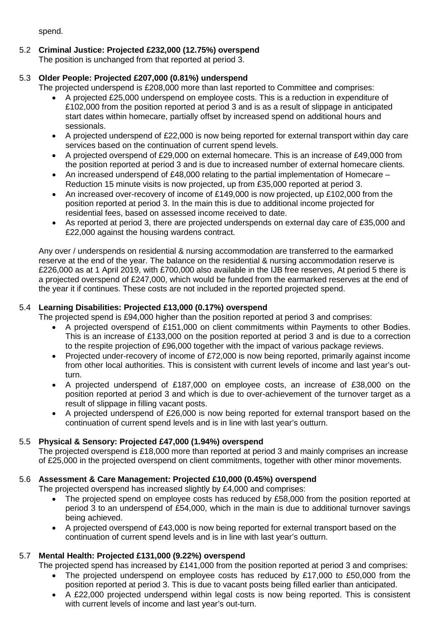spend.

5.2 **Criminal Justice: Projected £232,000 (12.75%) overspend** The position is unchanged from that reported at period 3.

## 5.3 **Older People: Projected £207,000 (0.81%) underspend**

The projected underspend is £208,000 more than last reported to Committee and comprises:

- A projected £25,000 underspend on employee costs. This is a reduction in expenditure of £102,000 from the position reported at period 3 and is as a result of slippage in anticipated start dates within homecare, partially offset by increased spend on additional hours and sessionals.
- A projected underspend of £22,000 is now being reported for external transport within day care services based on the continuation of current spend levels.
- A projected overspend of £29,000 on external homecare. This is an increase of £49,000 from the position reported at period 3 and is due to increased number of external homecare clients.
- An increased underspend of £48,000 relating to the partial implementation of Homecare Reduction 15 minute visits is now projected, up from £35,000 reported at period 3.
- An increased over-recovery of income of £149,000 is now projected, up £102,000 from the position reported at period 3. In the main this is due to additional income projected for residential fees, based on assessed income received to date.
- As reported at period 3, there are projected underspends on external day care of £35,000 and £22,000 against the housing wardens contract.

Any over / underspends on residential & nursing accommodation are transferred to the earmarked reserve at the end of the year. The balance on the residential & nursing accommodation reserve is £226,000 as at 1 April 2019, with £700,000 also available in the IJB free reserves, At period 5 there is a projected overspend of £247,000, which would be funded from the earmarked reserves at the end of the year it if continues. These costs are not included in the reported projected spend.

## 5.4 **Learning Disabilities: Projected £13,000 (0.17%) overspend**

The projected spend is £94,000 higher than the position reported at period 3 and comprises:

- A projected overspend of £151,000 on client commitments within Payments to other Bodies. This is an increase of £133,000 on the position reported at period 3 and is due to a correction to the respite projection of £96,000 together with the impact of various package reviews.
- Projected under-recovery of income of £72,000 is now being reported, primarily against income from other local authorities. This is consistent with current levels of income and last year's outturn.
- A projected underspend of £187,000 on employee costs, an increase of £38,000 on the position reported at period 3 and which is due to over-achievement of the turnover target as a result of slippage in filling vacant posts.
- A projected underspend of £26,000 is now being reported for external transport based on the continuation of current spend levels and is in line with last year's outturn.

## 5.5 **Physical & Sensory: Projected £47,000 (1.94%) overspend**

The projected overspend is £18,000 more than reported at period 3 and mainly comprises an increase of £25,000 in the projected overspend on client commitments, together with other minor movements.

## 5.6 **Assessment & Care Management: Projected £10,000 (0.45%) overspend**

The projected overspend has increased slightly by £4,000 and comprises:

- The projected spend on employee costs has reduced by £58,000 from the position reported at period 3 to an underspend of £54,000, which in the main is due to additional turnover savings being achieved.
- A projected overspend of £43,000 is now being reported for external transport based on the continuation of current spend levels and is in line with last year's outturn.

## 5.7 **Mental Health: Projected £131,000 (9.22%) overspend**

The projected spend has increased by £141,000 from the position reported at period 3 and comprises:

- The projected underspend on employee costs has reduced by £17,000 to £50,000 from the position reported at period 3. This is due to vacant posts being filled earlier than anticipated.
- A £22,000 projected underspend within legal costs is now being reported. This is consistent with current levels of income and last year's out-turn.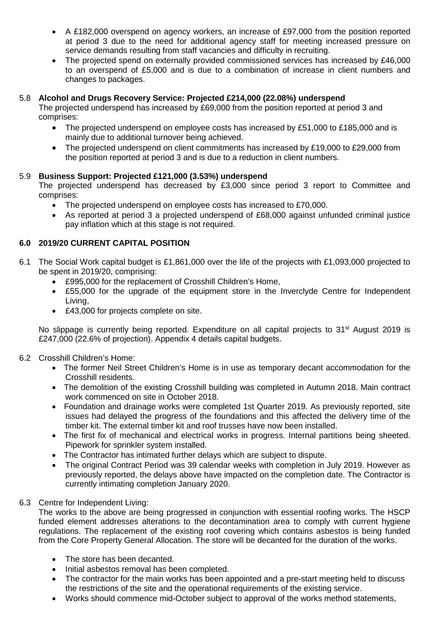- A £182,000 overspend on agency workers, an increase of £97,000 from the position reported at period 3 due to the need for additional agency staff for meeting increased pressure on service demands resulting from staff vacancies and difficulty in recruiting.
- The projected spend on externally provided commissioned services has increased by £46,000 to an overspend of £5,000 and is due to a combination of increase in client numbers and changes to packages.

## 5.8 **Alcohol and Drugs Recovery Service: Projected £214,000 (22.08%) underspend**

The projected underspend has increased by £69,000 from the position reported at period 3 and comprises:

- The projected underspend on employee costs has increased by £51,000 to £185,000 and is mainly due to additional turnover being achieved.
- The projected underspend on client commitments has increased by £19,000 to £29,000 from the position reported at period 3 and is due to a reduction in client numbers.

#### 5.9 **Business Support: Projected £121,000 (3.53%) underspend**

The projected underspend has decreased by £3,000 since period 3 report to Committee and comprises:

- The projected underspend on employee costs has increased to £70,000.
- As reported at period 3 a projected underspend of £68,000 against unfunded criminal justice pay inflation which at this stage is not required.

## **6.0 2019/20 CURRENT CAPITAL POSITION**

- 6.1 The Social Work capital budget is £1,861,000 over the life of the projects with £1,093,000 projected to be spent in 2019/20, comprising:
	- £995,000 for the replacement of Crosshill Children's Home,
	- £55,000 for the upgrade of the equipment store in the Inverclyde Centre for Independent Living,
	- £43,000 for projects complete on site.

No slippage is currently being reported. Expenditure on all capital projects to 31<sup>st</sup> August 2019 is £247,000 (22.6% of projection). Appendix 4 details capital budgets.

#### 6.2 Crosshill Children's Home:

- The former Neil Street Children's Home is in use as temporary decant accommodation for the Crosshill residents.
- The demolition of the existing Crosshill building was completed in Autumn 2018. Main contract work commenced on site in October 2018.
- Foundation and drainage works were completed 1st Quarter 2019. As previously reported, site issues had delayed the progress of the foundations and this affected the delivery time of the timber kit. The external timber kit and roof trusses have now been installed.
- The first fix of mechanical and electrical works in progress. Internal partitions being sheeted. Pipework for sprinkler system installed.
- The Contractor has intimated further delays which are subject to dispute.
- The original Contract Period was 39 calendar weeks with completion in July 2019. However as previously reported, the delays above have impacted on the completion date. The Contractor is currently intimating completion January 2020.

#### 6.3 Centre for Independent Living:

The works to the above are being progressed in conjunction with essential roofing works. The HSCP funded element addresses alterations to the decontamination area to comply with current hygiene regulations. The replacement of the existing roof covering which contains asbestos is being funded from the Core Property General Allocation. The store will be decanted for the duration of the works.

- The store has been decanted.
- Initial asbestos removal has been completed.
- The contractor for the main works has been appointed and a pre-start meeting held to discuss the restrictions of the site and the operational requirements of the existing service.
- Works should commence mid-October subject to approval of the works method statements,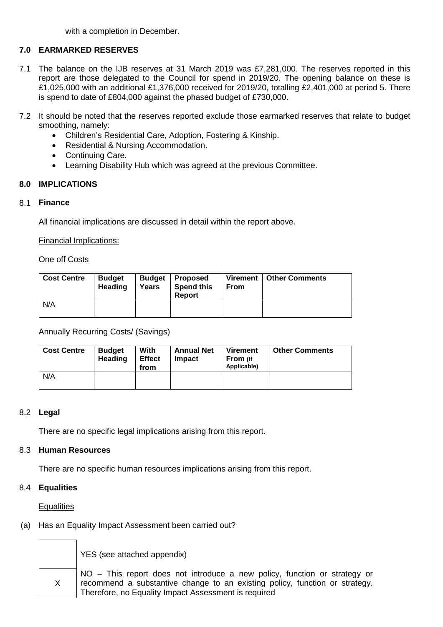with a completion in December.

## **7.0 EARMARKED RESERVES**

- 7.1 The balance on the IJB reserves at 31 March 2019 was £7,281,000. The reserves reported in this report are those delegated to the Council for spend in 2019/20. The opening balance on these is £1,025,000 with an additional £1,376,000 received for 2019/20, totalling £2,401,000 at period 5. There is spend to date of £804,000 against the phased budget of £730,000.
- 7.2 It should be noted that the reserves reported exclude those earmarked reserves that relate to budget smoothing, namely:
	- Children's Residential Care, Adoption, Fostering & Kinship.
	- Residential & Nursing Accommodation.
	- Continuing Care.
	- Learning Disability Hub which was agreed at the previous Committee.

#### **8.0 IMPLICATIONS**

#### 8.1 **Finance**

All financial implications are discussed in detail within the report above.

Financial Implications:

One off Costs

| <b>Cost Centre</b> | <b>Budget</b><br>Heading | <b>Budget</b><br>Years | .   Proposed<br><b>Spend this</b><br>Report | From | Virement   Other Comments |
|--------------------|--------------------------|------------------------|---------------------------------------------|------|---------------------------|
| N/A                |                          |                        |                                             |      |                           |

Annually Recurring Costs/ (Savings)

| <b>Cost Centre</b> | <b>Budget</b><br><b>Heading</b> | With<br><b>Effect</b><br>from | <b>Annual Net</b><br><b>Impact</b> | <b>Virement</b><br>From (If<br>Applicable) | <b>Other Comments</b> |
|--------------------|---------------------------------|-------------------------------|------------------------------------|--------------------------------------------|-----------------------|
| N/A                |                                 |                               |                                    |                                            |                       |

#### 8.2 **Legal**

There are no specific legal implications arising from this report.

#### 8.3 **Human Resources**

There are no specific human resources implications arising from this report.

#### 8.4 **Equalities**

**Equalities** 

(a) Has an Equality Impact Assessment been carried out?

YES (see attached appendix)

X

NO – This report does not introduce a new policy, function or strategy or recommend a substantive change to an existing policy, function or strategy. Therefore, no Equality Impact Assessment is required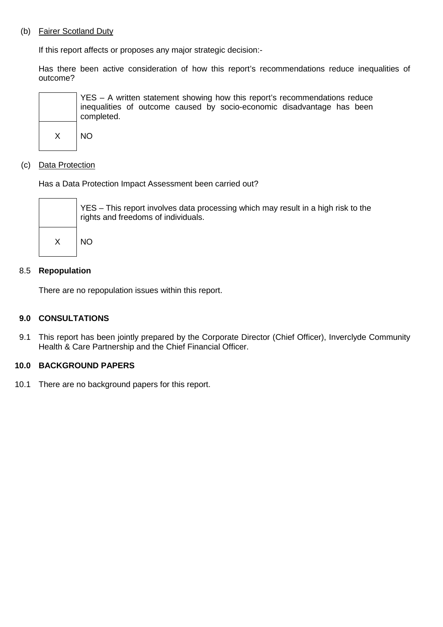#### (b) Fairer Scotland Duty

If this report affects or proposes any major strategic decision:-

Has there been active consideration of how this report's recommendations reduce inequalities of outcome?



#### (c) Data Protection

Has a Data Protection Impact Assessment been carried out?



#### 8.5 **Repopulation**

There are no repopulation issues within this report.

#### **9.0 CONSULTATIONS**

9.1 This report has been jointly prepared by the Corporate Director (Chief Officer), Inverclyde Community Health & Care Partnership and the Chief Financial Officer.

#### **10.0 BACKGROUND PAPERS**

10.1 There are no background papers for this report.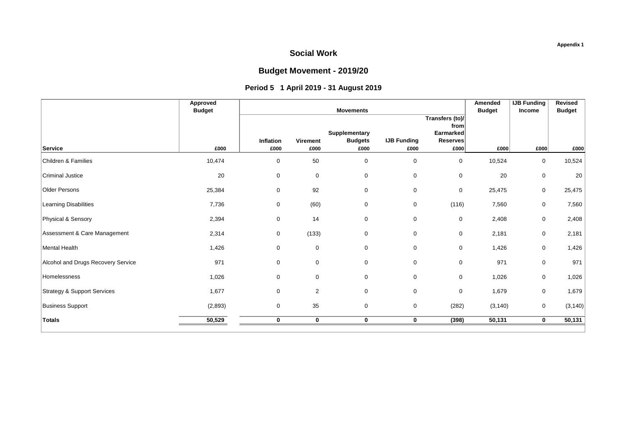## **Budget Movement - 2019/20**

## **Period 5 1 April 2019 - 31 August 2019**

| Amended                          | <b>IJB Funding</b> | Revised                              |
|----------------------------------|--------------------|--------------------------------------|
| <b>Budget</b><br>Transfers (to)/ | <b>Income</b>      | <b>Budget</b>                        |
| from                             |                    |                                      |
| Earmarked<br><b>Reserves</b>     |                    |                                      |
| £000<br>£000                     | £000               | £000                                 |
| $\mathbf 0$<br>10,524            | 0                  | 10,524                               |
| 20<br>$\boldsymbol{0}$           | 0                  | 20                                   |
| $\boldsymbol{0}$<br>25,475       | 0                  | 25,475                               |
| (116)<br>7,560                   | 0                  | 7,560                                |
| 2,408<br>$\mathbf 0$             | 0                  | 2,408                                |
| 2,181<br>$\boldsymbol{0}$        | 0                  | 2,181                                |
| $\boldsymbol{0}$<br>1,426        | 0                  | 1,426                                |
| 971<br>$\mathbf 0$               | 0                  | 971                                  |
| $\boldsymbol{0}$                 | 0                  | 1,026                                |
| $\mathbf 0$                      | 0                  | 1,679                                |
| (282)                            | $\mathbf 0$        | (3, 140)                             |
| (398)                            | 0                  | 50,131                               |
|                                  |                    | 1,026<br>1,679<br>(3, 140)<br>50,131 |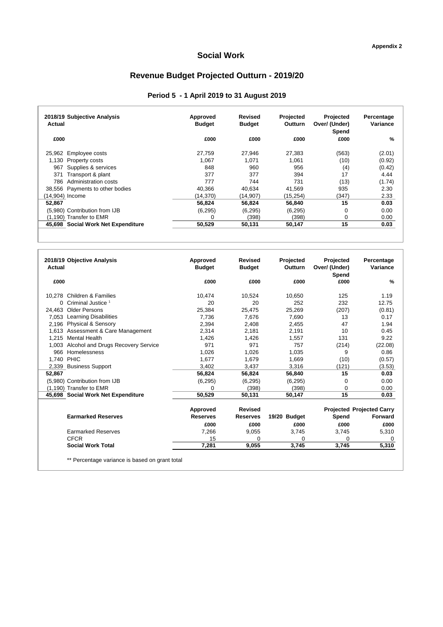# **Revenue Budget Projected Outturn - 2019/20**

## **Period 5 - 1 April 2019 to 31 August 2019**

| 2018/19 Subjective Analysis<br>Actual | Approved<br><b>Budget</b> | Revised<br><b>Budget</b> | Projected<br><b>Outturn</b> | Projected<br>Over/ (Under)<br>Spend | Percentage<br>Variance |
|---------------------------------------|---------------------------|--------------------------|-----------------------------|-------------------------------------|------------------------|
| £000                                  | £000                      | £000                     | £000                        | £000                                | $\frac{9}{6}$          |
| 25,962 Employee costs                 | 27.759                    | 27,946                   | 27.383                      | (563)                               | (2.01)                 |
| 1,130 Property costs                  | 1.067                     | 1.071                    | 1.061                       | (10)                                | (0.92)                 |
| Supplies & services<br>967            | 848                       | 960                      | 956                         | (4)                                 | (0.42)                 |
| Transport & plant<br>371              | 377                       | 377                      | 394                         | 17                                  | 4.44                   |
| Administration costs<br>786           | 777                       | 744                      | 731                         | (13)                                | (1.74)                 |
| 38,556 Payments to other bodies       | 40.366                    | 40.634                   | 41.569                      | 935                                 | 2.30                   |
| (14,904) Income                       | (14,370)                  | (14,907)                 | (15, 254)                   | (347)                               | 2.33                   |
| 52.867                                | 56.824                    | 56.824                   | 56.840                      | 15                                  | 0.03                   |
| (5,980) Contribution from IJB         | (6, 295)                  | (6, 295)                 | (6, 295)                    | $\Omega$                            | 0.00                   |
| (1,190) Transfer to EMR               | $\Omega$                  | (398)                    | (398)                       | 0                                   | 0.00                   |
| 45,698 Social Work Net Expenditure    | 50.529                    | 50,131                   | 50.147                      | 15                                  | 0.03                   |

| <b>Actual</b> | 2018/19 Objective Analysis                     | Approved<br><b>Budget</b> | <b>Revised</b><br><b>Budget</b> | Projected<br>Outturn | Projected<br>Over/ (Under)<br>Spend | Percentage<br>Variance           |
|---------------|------------------------------------------------|---------------------------|---------------------------------|----------------------|-------------------------------------|----------------------------------|
| £000          |                                                | £000                      | £000                            | £000                 | £000                                | $\%$                             |
|               | 10.278 Children & Families                     | 10,474                    | 10.524                          | 10,650               | 125                                 | 1.19                             |
| 0             | Criminal Justice <sup>1</sup>                  | 20                        | 20                              | 252                  | 232                                 | 12.75                            |
| 24.463        | Older Persons                                  | 25,384                    | 25,475                          | 25,269               | (207)                               | (0.81)                           |
| 7,053         | <b>Learning Disabilities</b>                   | 7,736                     | 7,676                           | 7,690                | 13                                  | 0.17                             |
| 2.196         | Physical & Sensory                             | 2,394                     | 2,408                           | 2,455                | 47                                  | 1.94                             |
|               | 1,613 Assessment & Care Management             | 2,314                     | 2.181                           | 2,191                | 10                                  | 0.45                             |
| 1.215         | <b>Mental Health</b>                           | 1,426                     | 1,426                           | 1,557                | 131                                 | 9.22                             |
|               | 1,003 Alcohol and Drugs Recovery Service       | 971                       | 971                             | 757                  | (214)                               | (22.08)                          |
| 966           | Homelessness                                   | 1,026                     | 1.026                           | 1.035                | 9                                   | 0.86                             |
| 1,740         | <b>PHIC</b>                                    | 1.677                     | 1.679                           | 1,669                | (10)                                | (0.57)                           |
| 2,339         | <b>Business Support</b>                        | 3,402                     | 3,437                           | 3,316                | (121)                               | (3.53)                           |
| 52,867        |                                                | 56,824                    | 56,824                          | 56,840               | 15                                  | 0.03                             |
|               | (5.980) Contribution from IJB                  | (6, 295)                  | (6, 295)                        | (6, 295)             | $\Omega$                            | 0.00                             |
|               | (1,190) Transfer to EMR                        | 0                         | (398)                           | (398)                | $\Omega$                            | 0.00                             |
|               | 45,698 Social Work Net Expenditure             | 50,529                    | 50,131                          | 50,147               | 15                                  | 0.03                             |
|               |                                                | Approved                  | <b>Revised</b>                  |                      |                                     | <b>Projected Projected Carry</b> |
|               | <b>Earmarked Reserves</b>                      | <b>Reserves</b>           | <b>Reserves</b>                 | 19/20 Budget         | Spend                               | Forward                          |
|               |                                                | £000                      | £000                            | £000                 | £000                                | £000                             |
|               | <b>Earmarked Reserves</b>                      | 7,266                     | 9,055                           | 3,745                | 3,745                               | 5,310                            |
|               | <b>CFCR</b>                                    | 15                        | 0                               | 0                    | 0                                   | 0                                |
|               | <b>Social Work Total</b>                       | 7,281                     | 9,055                           | 3,745                | 3,745                               | 5,310                            |
|               | ** Percentage variance is based on grant total |                           |                                 |                      |                                     |                                  |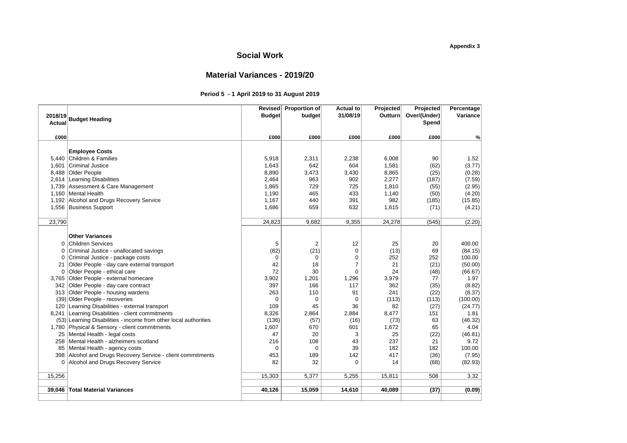## **Material Variances - 2019/20**

#### **Period 5 - 1 April 2019 to 31 August 2019**

|         |                                                                  |               | Revised Proportion of | Actual to      | Projected | Projected    | Percentage |
|---------|------------------------------------------------------------------|---------------|-----------------------|----------------|-----------|--------------|------------|
| 2018/19 | <b>Budget Heading</b>                                            | <b>Budget</b> | budget                | 31/08/19       | Outturn   | Over/(Under) | Variance   |
| Actual  |                                                                  |               |                       |                |           | Spend        |            |
|         |                                                                  |               |                       |                |           |              |            |
| £000    |                                                                  | £000          | £000                  | £000           | £000      | £000         | %          |
|         |                                                                  |               |                       |                |           |              |            |
|         | <b>Employee Costs</b>                                            |               |                       |                |           |              |            |
| 5,440   | Children & Families                                              | 5,918         | 2,311                 | 2,238          | 6,008     | 90           | 1.52       |
| 1,601   | <b>Criminal Justice</b>                                          | 1,643         | 642                   | 604            | 1,581     | (62)         | (3.77)     |
| 8,488   | Older People                                                     | 8,890         | 3,473                 | 3,430          | 8,865     | (25)         | (0.28)     |
| 2,614   | Learning Disabilities                                            | 2,464         | 963                   | 902            | 2,277     | (187)        | (7.59)     |
|         | 1,739 Assessment & Care Management                               | 1,865         | 729                   | 725            | 1,810     | (55)         | (2.95)     |
| 1,160   | Mental Health                                                    | 1,190         | 465                   | 433            | 1,140     | (50)         | (4.20)     |
| 1,192   | Alcohol and Drugs Recovery Service                               | 1,167         | 440                   | 391            | 982       | (185)        | (15.85)    |
|         | 1,556 Business Support                                           | 1,686         | 659                   | 632            | 1,615     | (71)         | (4.21)     |
|         |                                                                  |               |                       |                |           |              |            |
| 23,790  |                                                                  | 24,823        | 9,682                 | 9,355          | 24,278    | (545)        | (2.20)     |
|         |                                                                  |               |                       |                |           |              |            |
|         | <b>Other Variances</b>                                           |               |                       |                |           |              |            |
| 0       | <b>Children Services</b>                                         | 5             | 2                     | 12             | 25        | 20           | 400.00     |
| 0       | Criminal Justice - unallocated savings                           | (82)          | (21)                  | $\mathbf 0$    | (13)      | 69           | (84.15)    |
| 0       | Criminal Justice - package costs                                 | $\Omega$      | $\Omega$              | 0              | 252       | 252          | 100.00     |
| 21      | Older People - day care external transport                       | 42            | 18                    | $\overline{7}$ | 21        | (21)         | (50.00)    |
| 0       | Older People - ethical care                                      | 72            | 30                    | $\mathbf 0$    | 24        | (48)         | (66.67)    |
| 3,765   | Older People - external homecare                                 | 3,902         | 1,201                 | 1,296          | 3,979     | 77           | 1.97       |
| 342     | Older People - day care contract                                 | 397           | 166                   | 117            | 362       | (35)         | (8.82)     |
| 313     | Older People - housing wardens                                   | 263           | 110                   | 91             | 241       | (22)         | (8.37)     |
|         | (39) Older People - recoveries                                   | $\mathbf 0$   | $\mathbf 0$           | 0              | (113)     | (113)        | (100.00)   |
| 120     | Learning Disabilities - external transport                       | 109           | 45                    | 36             | 82        | (27)         | (24.77)    |
| 8,241   | Learning Disabilities - client commitments                       | 8,326         | 2,864                 | 2,884          | 8,477     | 151          | 1.81       |
|         | (53) Learning Disabilities - income from other local authorities | (136)         | (57)                  | (16)           | (73)      | 63           | (46.32)    |
| 1,780   | Physical & Sensory - client commitments                          | 1,607         | 670                   | 601            | 1,672     | 65           | 4.04       |
| 25      | Mental Health - legal costs                                      | 47            | 20                    | 3              | 25        | (22)         | (46.81)    |
| 258     | Mental Health - alzheimers scotland                              | 216           | 108                   | 43             | 237       | 21           | 9.72       |
| 85      | Mental Health - agency costs                                     | $\mathbf 0$   | $\mathbf 0$           | 39             | 182       | 182          | 100.00     |
| 398     | Alcohol and Drugs Recovery Service - client commitments          | 453           | 189                   | 142            | 417       | (36)         | (7.95)     |
| 0       | Alcohol and Drugs Recovery Service                               | 82            | 32                    | $\Omega$       | 14        | (68)         | (82.93)    |
|         |                                                                  |               |                       |                |           |              |            |
| 15,256  |                                                                  | 15,303        | 5,377                 | 5,255          | 15,811    | 508          | 3.32       |
|         |                                                                  |               |                       |                |           |              |            |
| 39,046  | <b>Total Material Variances</b>                                  | 40,126        | 15,059                | 14,610         | 40,089    | (37)         | (0.09)     |
|         |                                                                  |               |                       |                |           |              |            |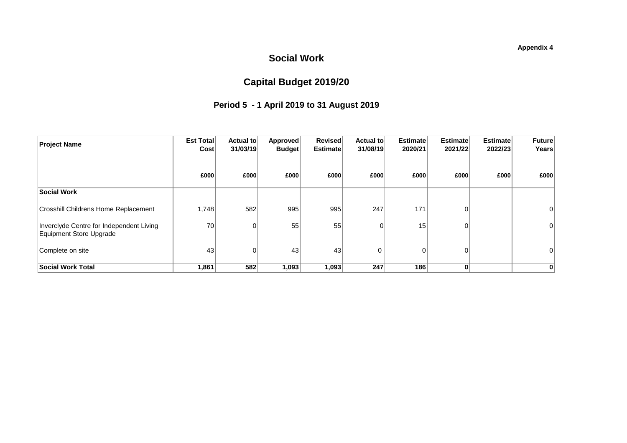# **Capital Budget 2019/20**

# **Period 5 - 1 April 2019 to 31 August 2019**

| <b>Project Name</b>                                                 | Est Total<br>Cost | Actual to<br>31/03/19 | Approved<br><b>Budget</b> | <b>Revised</b><br><b>Estimate</b> | Actual to<br>31/08/19 | <b>Estimate</b><br>2020/21 | <b>Estimate</b><br>2021/22 | <b>Estimate</b><br>2022/23 | <b>Future</b><br>Years |
|---------------------------------------------------------------------|-------------------|-----------------------|---------------------------|-----------------------------------|-----------------------|----------------------------|----------------------------|----------------------------|------------------------|
|                                                                     | £000              | £000                  | £000                      | £000                              | £000                  | £000                       | £000                       | £000                       | £000                   |
| Social Work                                                         |                   |                       |                           |                                   |                       |                            |                            |                            |                        |
| <b>Crosshill Childrens Home Replacement</b>                         | 1,748             | 582                   | 995                       | 995                               | 247                   | 171                        | 0                          |                            |                        |
| Inverclyde Centre for Independent Living<br>Equipment Store Upgrade | 70                |                       | 55                        | 55                                |                       | 15                         | 0                          |                            | 0                      |
| Complete on site                                                    | 43                |                       | 43                        | 43                                | 0                     | $\Omega$                   | $\mathbf 0$                |                            |                        |
| <b>Social Work Total</b>                                            | 1,861             | 582                   | 1,093                     | 1,093                             | 247                   | 186                        | 0                          |                            |                        |